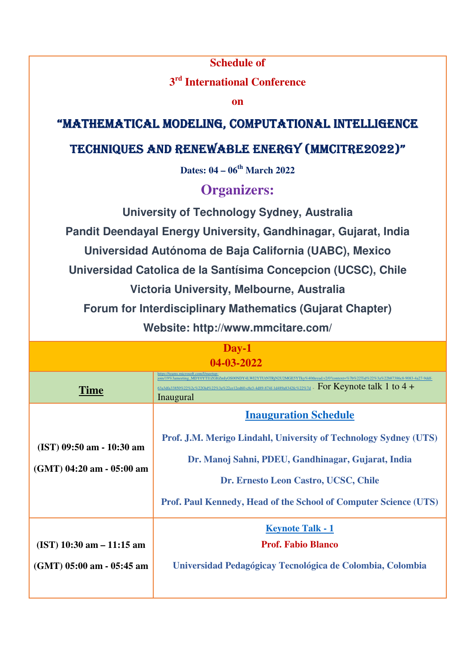#### **Schedule of**

## **3 rd International Conference**

**on** 

# "MATHEMATICAL MODELING, COMPUTATIONAL INTELLIGENCE

### TECHNIQUES AND RENEWABLE ENERGY (MMCITRE2022)"

**Dates: 04 – 06th March 2022** 

## **Organizers:**

**University of Technology Sydney, Australia Pandit Deendayal Energy University, Gandhinagar, Gujarat, India Universidad Autónoma de Baja California (UABC), Mexico Universidad Catolica de la Santísima Concepcion (UCSC), Chile Victoria University, Melbourne, Australia Forum for Interdisciplinary Mathematics (Gujarat Chapter)** 

**Website: http://www.mmcitare.com/**

|                                                            | $Day-1$                                                                                                                                                                                                                                                                                                                     |  |
|------------------------------------------------------------|-----------------------------------------------------------------------------------------------------------------------------------------------------------------------------------------------------------------------------------------------------------------------------------------------------------------------------|--|
|                                                            | 04-03-2022                                                                                                                                                                                                                                                                                                                  |  |
| <b>Time</b>                                                | https://teams.microsoft.com/l/meetup-<br>join/19%3ameeting_MDY0YTI1ZGItZmIyOS00NDY4LWI2YTUtNTRjN2U2MGE5YTky%40thread.v2/0?context=%7b%22Tid%22%3a%22b87386c8-9083-4a27-9ddf-<br>$\frac{63a3dfa33850\%22\%2c\%220id\%22\%3a\%22cc12cd60-c8e3-4d89-874f-1d489a8342fc\%22\%7d}{2}\cdot$ For Keynote talk 1 to 4 +<br>Inaugural |  |
| $(IST)$ 09:50 am - 10:30 am<br>$(GMT)$ 04:20 am - 05:00 am | <b>Inauguration Schedule</b>                                                                                                                                                                                                                                                                                                |  |
|                                                            | Prof. J.M. Merigo Lindahl, University of Technology Sydney (UTS)                                                                                                                                                                                                                                                            |  |
|                                                            | Dr. Manoj Sahni, PDEU, Gandhinagar, Gujarat, India                                                                                                                                                                                                                                                                          |  |
|                                                            | Dr. Ernesto Leon Castro, UCSC, Chile                                                                                                                                                                                                                                                                                        |  |
|                                                            | <b>Prof. Paul Kennedy, Head of the School of Computer Science (UTS)</b>                                                                                                                                                                                                                                                     |  |
|                                                            | <b>Keynote Talk - 1</b>                                                                                                                                                                                                                                                                                                     |  |
| $(IST)$ 10:30 am $-$ 11:15 am                              | <b>Prof. Fabio Blanco</b>                                                                                                                                                                                                                                                                                                   |  |
| $(GMT)$ 05:00 am - 05:45 am                                | Universidad Pedagógicay Tecnológica de Colombia, Colombia                                                                                                                                                                                                                                                                   |  |
|                                                            |                                                                                                                                                                                                                                                                                                                             |  |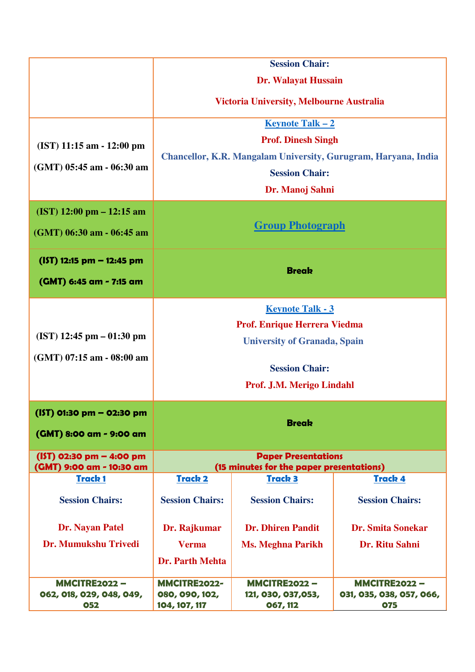|                                                        | <b>Session Chair:</b>                                                  |                                     |                                                                |
|--------------------------------------------------------|------------------------------------------------------------------------|-------------------------------------|----------------------------------------------------------------|
|                                                        | <b>Dr. Walayat Hussain</b>                                             |                                     |                                                                |
|                                                        | <b>Victoria University, Melbourne Australia</b>                        |                                     |                                                                |
|                                                        | <b>Keynote Talk - 2</b>                                                |                                     |                                                                |
| $(IST)$ 11:15 am - 12:00 pm                            |                                                                        | <b>Prof. Dinesh Singh</b>           |                                                                |
| (GMT) 05:45 am - 06:30 am                              |                                                                        |                                     | Chancellor, K.R. Mangalam University, Gurugram, Haryana, India |
|                                                        | <b>Session Chair:</b>                                                  |                                     |                                                                |
|                                                        |                                                                        | Dr. Manoj Sahni                     |                                                                |
| $(IST)$ 12:00 pm $-$ 12:15 am                          |                                                                        |                                     |                                                                |
| (GMT) 06:30 am - 06:45 am                              |                                                                        | <b>Group Photograph</b>             |                                                                |
|                                                        |                                                                        |                                     |                                                                |
| $(IST)$ 12:15 pm – 12:45 pm                            | <b>Break</b>                                                           |                                     |                                                                |
| (GMT) 6:45 am - 7:15 am                                |                                                                        |                                     |                                                                |
|                                                        |                                                                        | <b>Keynote Talk - 3</b>             |                                                                |
|                                                        |                                                                        | <b>Prof. Enrique Herrera Viedma</b> |                                                                |
| $(IST)$ 12:45 pm $-$ 01:30 pm                          |                                                                        |                                     |                                                                |
| (GMT) 07:15 am - 08:00 am                              | <b>University of Granada, Spain</b>                                    |                                     |                                                                |
|                                                        | <b>Session Chair:</b>                                                  |                                     |                                                                |
|                                                        | Prof. J.M. Merigo Lindahl                                              |                                     |                                                                |
| (IST) 01:30 pm - 02:30 pm                              |                                                                        |                                     |                                                                |
| (GMT) 8:00 am - 9:00 am                                | <b>Break</b>                                                           |                                     |                                                                |
|                                                        |                                                                        |                                     |                                                                |
| $(IST)$ 02:30 pm – 4:00 pm<br>(GMT) 9:00 am - 10:30 am | <b>Paper Presentations</b><br>(15 minutes for the paper presentations) |                                     |                                                                |
| <b>Track1</b>                                          | <b>Track 2</b>                                                         | <b>Track 3</b>                      | <b>Track 4</b>                                                 |
| <b>Session Chairs:</b>                                 | <b>Session Chairs:</b>                                                 | <b>Session Chairs:</b>              | <b>Session Chairs:</b>                                         |
| Dr. Nayan Patel                                        | Dr. Rajkumar                                                           | <b>Dr. Dhiren Pandit</b>            | <b>Dr. Smita Sonekar</b>                                       |
| Dr. Mumukshu Trivedi                                   | <b>Verma</b>                                                           | <b>Ms. Meghna Parikh</b>            | Dr. Ritu Sahni                                                 |
|                                                        | <b>Dr. Parth Mehta</b>                                                 |                                     |                                                                |
| <b>MMCITRE2022 -</b>                                   | <b>MMCITRE2022-</b>                                                    | <b>MMCITRE2022-</b>                 | <b>MMCITRE2022 -</b>                                           |
| 062, 018, 029, 048, 049,<br>052                        | 080, 090, 102,<br>104, 107, 117                                        | 121, 030, 037, 053,<br>067, 112     | 031, 035, 038, 057, 066,<br>075                                |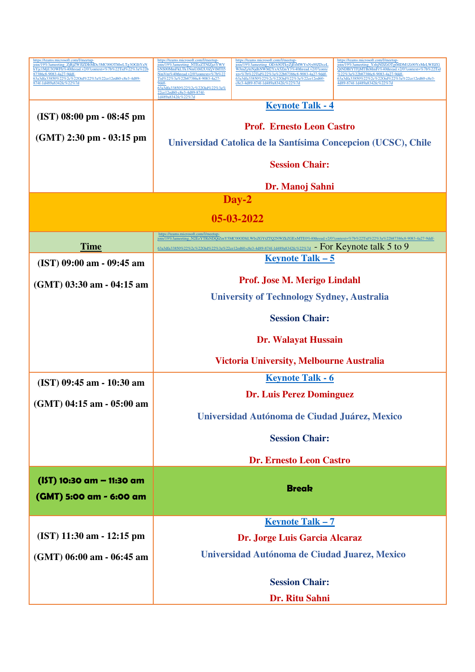| https://teams.microsoft.com/l/meetup-<br>join/19%3ameeting_ZjRjZWJIZDItMDc3MC00OTMwLTg3OGItYzN<br>hYjc1MjU3OWFh%40thread.v2/0?context=%7b%22Tid%22%3a%22b<br>87386c8-9083-4a27-9ddf-<br>63a3dfa33850%22%2c%22Oid%22%3a%22ce12ed60-c8e3-4d89-<br>874f-1d489a8342fc%22%7d | https://teams.microsoft.com/l/meetup-<br>https://teams.microsoft.com/l/meetup-<br>https://teams.microsoft.com/l/meetup-<br>join/19%3ameeting_ODA0OTkyZjEtMWYxNy00ZDczL<br>join/19%3ameeting_NTEzZTNlZjctYWV<br>join/19%3ameeting_YzhjNDZiOTgtMDM1Zi00YzMzLWJlZG<br>hNS00MmFkLTk1NmUtM2U0ZjVlMTI5<br>WJmZjAtNjdhNWM2YzA5ZmY3%40thread.v2/0?conte<br>QtNDBIYTFjMTBiMmFi%40thread.v2/0?context=%7b%22Tid<br>xt=%7b%22Tid%22%3a%22b87386c8-9083-4a27-9ddf-<br>%22%3a%22b87386c8-9083-4a27-9ddf-<br>NmVm%40thread.v2/0?context=%7b%22<br>Tid%22%3a%22b87386c8-9083-4a27-<br>63a3dfa33850%22%2c%22Oid%22%3a%22ce12ed60-<br>63a3dfa33850%22%2c%22Oid%22%3a%22ce12ed60-c8e3-<br>4d89-874f-1d489a8342fc%22%7d<br>c8e3-4d89-874f-1d489a8342fc%22%7d<br>9ddf-<br>63a3dfa33850%22%2c%22Oid%22%3a%<br>22ce12ed60-c8e3-4d89-874f- |  |  |
|-------------------------------------------------------------------------------------------------------------------------------------------------------------------------------------------------------------------------------------------------------------------------|---------------------------------------------------------------------------------------------------------------------------------------------------------------------------------------------------------------------------------------------------------------------------------------------------------------------------------------------------------------------------------------------------------------------------------------------------------------------------------------------------------------------------------------------------------------------------------------------------------------------------------------------------------------------------------------------------------------------------------------------------------------------------------------------------------------------|--|--|
| $(IST) 08:00 pm - 08:45 pm$<br>$(GMT)$ 2:30 pm - 03:15 pm                                                                                                                                                                                                               | 1d489a8342fc%22%7d<br><b>Keynote Talk - 4</b><br><b>Prof. Ernesto Leon Castro</b><br>Universidad Catolica de la Santísima Concepcion (UCSC), Chile                                                                                                                                                                                                                                                                                                                                                                                                                                                                                                                                                                                                                                                                  |  |  |
|                                                                                                                                                                                                                                                                         | <b>Session Chair:</b>                                                                                                                                                                                                                                                                                                                                                                                                                                                                                                                                                                                                                                                                                                                                                                                               |  |  |
|                                                                                                                                                                                                                                                                         | Dr. Manoj Sahni                                                                                                                                                                                                                                                                                                                                                                                                                                                                                                                                                                                                                                                                                                                                                                                                     |  |  |
|                                                                                                                                                                                                                                                                         | $Day-2$                                                                                                                                                                                                                                                                                                                                                                                                                                                                                                                                                                                                                                                                                                                                                                                                             |  |  |
|                                                                                                                                                                                                                                                                         | 05-03-2022                                                                                                                                                                                                                                                                                                                                                                                                                                                                                                                                                                                                                                                                                                                                                                                                          |  |  |
| <b>Time</b>                                                                                                                                                                                                                                                             | https://teams.microsoft.com/l/meetup-<br>join/19%3ameeting_N2EzYTRiNDQtZmY5MC00ODliLWIxZGYtZTQ2NWZkZGExMTE0%40thread.v2/0?context=%7b%22Tid%22%3a%22b87386c8-9083-4a27-9ddf-<br>$\frac{63a3dfa33850\%22\%2c\%220id\%22\%3a\%22cc12cd60-c8e3-4d89-874f-1d489a8342fc\%22\%7d}{2}$ - For Keynote talk 5 to 9                                                                                                                                                                                                                                                                                                                                                                                                                                                                                                           |  |  |
| (IST) 09:00 am - 09:45 am                                                                                                                                                                                                                                               | <u>Keynote Talk – 5</u>                                                                                                                                                                                                                                                                                                                                                                                                                                                                                                                                                                                                                                                                                                                                                                                             |  |  |
| (GMT) 03:30 am - 04:15 am                                                                                                                                                                                                                                               | <b>Prof. Jose M. Merigo Lindahl</b>                                                                                                                                                                                                                                                                                                                                                                                                                                                                                                                                                                                                                                                                                                                                                                                 |  |  |
|                                                                                                                                                                                                                                                                         | <b>University of Technology Sydney, Australia</b>                                                                                                                                                                                                                                                                                                                                                                                                                                                                                                                                                                                                                                                                                                                                                                   |  |  |
|                                                                                                                                                                                                                                                                         | <b>Session Chair:</b>                                                                                                                                                                                                                                                                                                                                                                                                                                                                                                                                                                                                                                                                                                                                                                                               |  |  |
|                                                                                                                                                                                                                                                                         | <b>Dr. Walayat Hussain</b>                                                                                                                                                                                                                                                                                                                                                                                                                                                                                                                                                                                                                                                                                                                                                                                          |  |  |
|                                                                                                                                                                                                                                                                         | <b>Victoria University, Melbourne Australia</b>                                                                                                                                                                                                                                                                                                                                                                                                                                                                                                                                                                                                                                                                                                                                                                     |  |  |
| (IST) 09:45 am - 10:30 am                                                                                                                                                                                                                                               | <b>Keynote Talk - 6</b>                                                                                                                                                                                                                                                                                                                                                                                                                                                                                                                                                                                                                                                                                                                                                                                             |  |  |
| $(GMT)$ 04:15 am - 05:00 am                                                                                                                                                                                                                                             | <b>Dr. Luis Perez Dominguez</b>                                                                                                                                                                                                                                                                                                                                                                                                                                                                                                                                                                                                                                                                                                                                                                                     |  |  |
|                                                                                                                                                                                                                                                                         | Universidad Autónoma de Ciudad Juárez, Mexico                                                                                                                                                                                                                                                                                                                                                                                                                                                                                                                                                                                                                                                                                                                                                                       |  |  |
|                                                                                                                                                                                                                                                                         | <b>Session Chair:</b>                                                                                                                                                                                                                                                                                                                                                                                                                                                                                                                                                                                                                                                                                                                                                                                               |  |  |
|                                                                                                                                                                                                                                                                         | <b>Dr. Ernesto Leon Castro</b>                                                                                                                                                                                                                                                                                                                                                                                                                                                                                                                                                                                                                                                                                                                                                                                      |  |  |
| (IST) 10:30 am - 11:30 am<br>(GMT) 5:00 am - 6:00 am                                                                                                                                                                                                                    | <b>Break</b>                                                                                                                                                                                                                                                                                                                                                                                                                                                                                                                                                                                                                                                                                                                                                                                                        |  |  |
|                                                                                                                                                                                                                                                                         | <u>Keynote Talk – 7</u>                                                                                                                                                                                                                                                                                                                                                                                                                                                                                                                                                                                                                                                                                                                                                                                             |  |  |
| $(IST)$ 11:30 am - 12:15 pm                                                                                                                                                                                                                                             | Dr. Jorge Luis Garcia Alcaraz                                                                                                                                                                                                                                                                                                                                                                                                                                                                                                                                                                                                                                                                                                                                                                                       |  |  |
| $(GMT)$ 06:00 am - 06:45 am                                                                                                                                                                                                                                             | Universidad Autónoma de Ciudad Juarez, Mexico                                                                                                                                                                                                                                                                                                                                                                                                                                                                                                                                                                                                                                                                                                                                                                       |  |  |
|                                                                                                                                                                                                                                                                         | <b>Session Chair:</b>                                                                                                                                                                                                                                                                                                                                                                                                                                                                                                                                                                                                                                                                                                                                                                                               |  |  |
|                                                                                                                                                                                                                                                                         | Dr. Ritu Sahni                                                                                                                                                                                                                                                                                                                                                                                                                                                                                                                                                                                                                                                                                                                                                                                                      |  |  |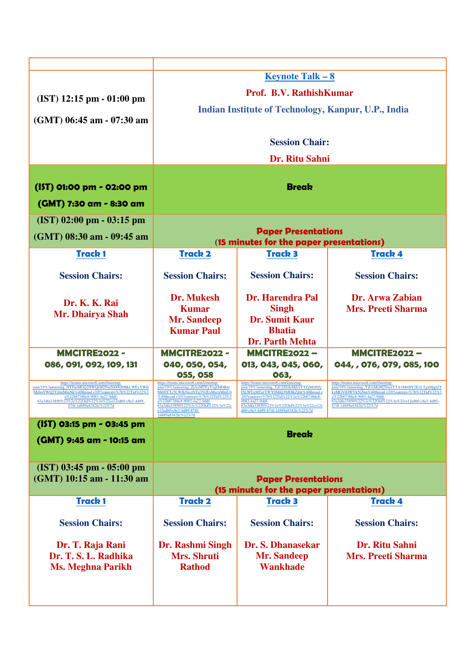|                                                                                                                                                                                                                                                                         | <b>Keynote Talk - 8</b>                                                                                                                                                                                                                                                         |                                                                                                                                                                                                                                                                             |                                                                                                                                                                                                                                                                         |  |
|-------------------------------------------------------------------------------------------------------------------------------------------------------------------------------------------------------------------------------------------------------------------------|---------------------------------------------------------------------------------------------------------------------------------------------------------------------------------------------------------------------------------------------------------------------------------|-----------------------------------------------------------------------------------------------------------------------------------------------------------------------------------------------------------------------------------------------------------------------------|-------------------------------------------------------------------------------------------------------------------------------------------------------------------------------------------------------------------------------------------------------------------------|--|
| $(IST)$ 12:15 pm - 01:00 pm                                                                                                                                                                                                                                             |                                                                                                                                                                                                                                                                                 | Prof. B.V. RathishKumar                                                                                                                                                                                                                                                     |                                                                                                                                                                                                                                                                         |  |
|                                                                                                                                                                                                                                                                         |                                                                                                                                                                                                                                                                                 | Indian Institute of Technology, Kanpur, U.P., India                                                                                                                                                                                                                         |                                                                                                                                                                                                                                                                         |  |
| $(GMT)$ 06:45 am - 07:30 am                                                                                                                                                                                                                                             |                                                                                                                                                                                                                                                                                 |                                                                                                                                                                                                                                                                             |                                                                                                                                                                                                                                                                         |  |
|                                                                                                                                                                                                                                                                         |                                                                                                                                                                                                                                                                                 | <b>Session Chair:</b>                                                                                                                                                                                                                                                       |                                                                                                                                                                                                                                                                         |  |
|                                                                                                                                                                                                                                                                         |                                                                                                                                                                                                                                                                                 | Dr. Ritu Sahni                                                                                                                                                                                                                                                              |                                                                                                                                                                                                                                                                         |  |
|                                                                                                                                                                                                                                                                         |                                                                                                                                                                                                                                                                                 |                                                                                                                                                                                                                                                                             |                                                                                                                                                                                                                                                                         |  |
| (IST) 01:00 pm - 02:00 pm                                                                                                                                                                                                                                               |                                                                                                                                                                                                                                                                                 | <b>Break</b>                                                                                                                                                                                                                                                                |                                                                                                                                                                                                                                                                         |  |
| (GMT) 7:30 am - 8:30 am                                                                                                                                                                                                                                                 |                                                                                                                                                                                                                                                                                 |                                                                                                                                                                                                                                                                             |                                                                                                                                                                                                                                                                         |  |
| $(IST)$ 02:00 pm - 03:15 pm                                                                                                                                                                                                                                             |                                                                                                                                                                                                                                                                                 |                                                                                                                                                                                                                                                                             |                                                                                                                                                                                                                                                                         |  |
| $(GMT)$ 08:30 am - 09:45 am                                                                                                                                                                                                                                             |                                                                                                                                                                                                                                                                                 | <b>Paper Presentations</b><br>(15 minutes for the paper presentations)                                                                                                                                                                                                      |                                                                                                                                                                                                                                                                         |  |
| <b>Track1</b>                                                                                                                                                                                                                                                           | <b>Track 2</b>                                                                                                                                                                                                                                                                  | <b>Track 3</b>                                                                                                                                                                                                                                                              | <b>Track 4</b>                                                                                                                                                                                                                                                          |  |
| <b>Session Chairs:</b>                                                                                                                                                                                                                                                  | <b>Session Chairs:</b>                                                                                                                                                                                                                                                          | <b>Session Chairs:</b>                                                                                                                                                                                                                                                      | <b>Session Chairs:</b>                                                                                                                                                                                                                                                  |  |
| Dr. K. K. Rai                                                                                                                                                                                                                                                           | <b>Dr. Mukesh</b>                                                                                                                                                                                                                                                               | Dr. Harendra Pal                                                                                                                                                                                                                                                            | Dr. Arwa Zabian                                                                                                                                                                                                                                                         |  |
| Mr. Dhairya Shah                                                                                                                                                                                                                                                        | <b>Kumar</b>                                                                                                                                                                                                                                                                    | <b>Singh</b><br><b>Dr. Sumit Kaur</b>                                                                                                                                                                                                                                       | <b>Mrs. Preeti Sharma</b>                                                                                                                                                                                                                                               |  |
|                                                                                                                                                                                                                                                                         | <b>Mr. Sandeep</b><br><b>Kumar Paul</b>                                                                                                                                                                                                                                         | <b>Bhatia</b>                                                                                                                                                                                                                                                               |                                                                                                                                                                                                                                                                         |  |
|                                                                                                                                                                                                                                                                         |                                                                                                                                                                                                                                                                                 | <b>Dr. Parth Mehta</b>                                                                                                                                                                                                                                                      |                                                                                                                                                                                                                                                                         |  |
| <b>MMCITRE2022 -</b><br>086, 091, 092, 109, 131                                                                                                                                                                                                                         | <b>MMCITRE2022 -</b><br>040, 050, 054,                                                                                                                                                                                                                                          | <b>MMCITRE2022 -</b><br>013, 043, 045, 060,                                                                                                                                                                                                                                 | <b>MMCITRE2022 -</b><br>044, , 076, 079, 085, 100                                                                                                                                                                                                                       |  |
|                                                                                                                                                                                                                                                                         | 055, 058                                                                                                                                                                                                                                                                        | 063,                                                                                                                                                                                                                                                                        |                                                                                                                                                                                                                                                                         |  |
| https://teams.microsoft.com/l/meetup-<br>join/19%3ameeting NTFmMGQ2NWQtM2NmNi00QDBkLWExYWIt<br>MjJmYWQ2YjJmMmNk%40thread.v2/0?context=%7b%22Tid%22%3<br>a%22b87386c8-9083-4a27-9ddf-<br>63a3dfa33850%22%2c%22Oid%22%3a%22ce12ed60-c8e3-4d89-<br>874f-1d489a8342fc%22%7d | https://teams.microsoft.com/l/meetup-<br>join/19%3ameeting ZjAyMTEyYzgtMDRm<br>Mi00YTc5LWJkNzctNTg3N2EyMzcxMmU4<br>%40thread.v2/0?context=%7b%22Tid%22%3<br>a%22b87386c8-9083-4a27-9ddf-<br>63a3dfa33850%22%2c%22Oid%22%3a%22c<br>e12ed60-c8e3-4d89-874f-<br>1d489a8342fc%22%7d | https://teams.microsoft.com/l/meetup-<br>join/19%3ameeting YjU2ZGIzMjUtYTZjMi00Zj<br>FILWExMTgtYWY0MjQ3MDlkZjhh%40thread.v<br>2/0?context=%7b%22Tid%22%3a%22b87386c8-<br>9083-4a27-9ddf-<br>63a3dfa33850%22%2c%22Oid%22%3a%22ce12e<br>d60-c8e3-4d89-874f-1d489a8342fc%22%7d | https://teams.microsoft.com/l/meetup-<br>join/19%3ameeting YjUxMzM2NzctYTA1Mi00Y2E1LTgxMjgtZT<br>kyMGVIOWVkNjNm%40thread.v2/0?context=%7b%22Tid%22%3<br>a%22b87386c8-9083-4a27-9ddf-<br>63a3dfa33850%22%2c%22Oid%22%3a%22ce12ed60-c8e3-4d89-<br>874f-1d489a8342fc%22%7d |  |
| (IST) 03:15 pm - 03:45 pm                                                                                                                                                                                                                                               |                                                                                                                                                                                                                                                                                 |                                                                                                                                                                                                                                                                             |                                                                                                                                                                                                                                                                         |  |
| (GMT) 9:45 am - 10:15 am                                                                                                                                                                                                                                                | <b>Break</b>                                                                                                                                                                                                                                                                    |                                                                                                                                                                                                                                                                             |                                                                                                                                                                                                                                                                         |  |
| $(IST)$ 03:45 pm - 05:00 pm                                                                                                                                                                                                                                             |                                                                                                                                                                                                                                                                                 |                                                                                                                                                                                                                                                                             |                                                                                                                                                                                                                                                                         |  |
| (GMT) 10:15 am - 11:30 am                                                                                                                                                                                                                                               | <b>Paper Presentations</b><br>(15 minutes for the paper presentations)                                                                                                                                                                                                          |                                                                                                                                                                                                                                                                             |                                                                                                                                                                                                                                                                         |  |
| <b>Track1</b>                                                                                                                                                                                                                                                           | <b>Track 2</b>                                                                                                                                                                                                                                                                  | <b>Track 3</b>                                                                                                                                                                                                                                                              | <b>Track 4</b>                                                                                                                                                                                                                                                          |  |
| <b>Session Chairs:</b>                                                                                                                                                                                                                                                  | <b>Session Chairs:</b>                                                                                                                                                                                                                                                          | <b>Session Chairs:</b>                                                                                                                                                                                                                                                      | <b>Session Chairs:</b>                                                                                                                                                                                                                                                  |  |
| Dr. T. Raja Rani                                                                                                                                                                                                                                                        | Dr. Rashmi Singh                                                                                                                                                                                                                                                                | Dr. S. Dhanasekar                                                                                                                                                                                                                                                           | Dr. Ritu Sahni                                                                                                                                                                                                                                                          |  |
| Dr. T. S. L. Radhika                                                                                                                                                                                                                                                    | <b>Mrs. Shruti</b>                                                                                                                                                                                                                                                              | Mr. Sandeep                                                                                                                                                                                                                                                                 | <b>Mrs. Preeti Sharma</b>                                                                                                                                                                                                                                               |  |
| <b>Ms. Meghna Parikh</b>                                                                                                                                                                                                                                                | <b>Rathod</b>                                                                                                                                                                                                                                                                   | <b>Wankhade</b>                                                                                                                                                                                                                                                             |                                                                                                                                                                                                                                                                         |  |
|                                                                                                                                                                                                                                                                         |                                                                                                                                                                                                                                                                                 |                                                                                                                                                                                                                                                                             |                                                                                                                                                                                                                                                                         |  |
|                                                                                                                                                                                                                                                                         |                                                                                                                                                                                                                                                                                 |                                                                                                                                                                                                                                                                             |                                                                                                                                                                                                                                                                         |  |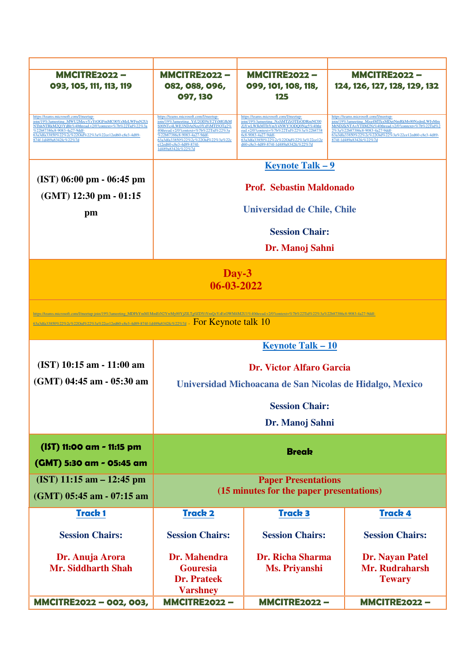| <b>MMCITRE2022 -</b><br>093, 105, 111, 113, 119<br>https://teams.microsoft.com/l/meetup-<br>join/19%3ameeting_MWU2MzcyYzYtOGFmMC00YzMzLWFmN2Ut<br>NThhNTRkM2Q3YjBh%40thread.v2/0?context=%7b%22Tid%22%3a<br>%22b87386c8-9083-4a27-9ddf-                                              | <b>MMCITRE2022 -</b><br>082, 088, 096,<br>097, 130<br>https://teams.microsoft.com/l/meetup-<br>join/19%3ameeting_YjU2ODNiY2YtMGJkM<br>S00NTc4LWE3NDAtNzc0YzFiMTI5OTg2%<br>40thread.v2/0?context=%7b%22Tid%22%3a | <b>MMCITRE2022 -</b><br>099, 101, 108, 118,<br>125<br>https://teams.microsoft.com/l/meetup-<br>join/19%3ameeting_NzJjMTZiOTEtODRmNC00<br>ZjYwLWJkMTItYmY4NWY3ODQ0Njg5%40thr<br>ead.v2/0?context=%7b%22Tid%22%3a%22b8738 | <b>MMCITRE2022 -</b><br>124, 126, 127, 128, 129, 132<br>https://teams.microsoft.com/l/meetup-<br>join/19%3ameeting_Mzg4MTkxMDgtNmRkMy00NzdmLWIyMm<br>MtNDZkNTAyYTllM2Ni%40thread.v2/0?context=%7b%22Tid%2<br>2%3a%22b87386c8-9083-4a27-9ddf- |
|--------------------------------------------------------------------------------------------------------------------------------------------------------------------------------------------------------------------------------------------------------------------------------------|-----------------------------------------------------------------------------------------------------------------------------------------------------------------------------------------------------------------|-------------------------------------------------------------------------------------------------------------------------------------------------------------------------------------------------------------------------|----------------------------------------------------------------------------------------------------------------------------------------------------------------------------------------------------------------------------------------------|
| 63a3dfa33850%22%2c%22Oid%22%3a%22ce12ed60-c8e3-4d89-<br>874f-1d489a8342fc%22%7d                                                                                                                                                                                                      | %22b87386c8-9083-4a27-9ddf-<br>63a3dfa33850%22%2c%22Oid%22%3a%22c<br>e12ed60-c8e3-4d89-874f-<br>1d489a8342fc%22%7d                                                                                              | 6c8-9083-4a27-9ddf-<br>63a3dfa33850%22%2c%22Oid%22%3a%22ce12e<br>d60-c8e3-4d89-874f-1d489a8342fc%22%7d                                                                                                                  | 63a3dfa33850%22%2c%22Oid%22%3a%22ce12ed60-c8e3-4d89-<br>874f-1d489a8342fc%22%7d                                                                                                                                                              |
| $(IST) 06:00 pm - 06:45 pm$<br>$(GMT)$ 12:30 pm - 01:15                                                                                                                                                                                                                              | <b>Keynote Talk - 9</b><br><b>Prof. Sebastin Maldonado</b><br>Universidad de Chile, Chile<br><b>Session Chair:</b>                                                                                              |                                                                                                                                                                                                                         |                                                                                                                                                                                                                                              |
| pm                                                                                                                                                                                                                                                                                   |                                                                                                                                                                                                                 |                                                                                                                                                                                                                         |                                                                                                                                                                                                                                              |
|                                                                                                                                                                                                                                                                                      |                                                                                                                                                                                                                 | Dr. Manoj Sahni                                                                                                                                                                                                         |                                                                                                                                                                                                                                              |
| $Day-3$<br>06-03-2022                                                                                                                                                                                                                                                                |                                                                                                                                                                                                                 |                                                                                                                                                                                                                         |                                                                                                                                                                                                                                              |
| https://teams.microsoft.com/l/meetup-join/19%3ameeting_MDFhYmM1MmEtN2YwMy00YjZILTg0ZDYtYmQzYzExOWM4M2U1%40thread.y2/0?context=%7b%22Tid%22%3a%22b87386c8-9083-4a27-9ddf-<br><u>63a3dfa33850%22%2c%220id%22%3a%22ce12ed60-c8e3-4d89-874f-1d489a8342fc%22%7d</u> . For Keynote talk 10 |                                                                                                                                                                                                                 |                                                                                                                                                                                                                         |                                                                                                                                                                                                                                              |
|                                                                                                                                                                                                                                                                                      |                                                                                                                                                                                                                 | <b>Keynote Talk - 10</b>                                                                                                                                                                                                |                                                                                                                                                                                                                                              |
| (IST) 10:15 am - 11:00 am                                                                                                                                                                                                                                                            |                                                                                                                                                                                                                 | <b>Dr. Victor Alfaro Garcia</b>                                                                                                                                                                                         |                                                                                                                                                                                                                                              |
| $(GMT)$ 04:45 am - 05:30 am                                                                                                                                                                                                                                                          | Universidad Michoacana de San Nicolas de Hidalgo, Mexico                                                                                                                                                        |                                                                                                                                                                                                                         |                                                                                                                                                                                                                                              |
|                                                                                                                                                                                                                                                                                      |                                                                                                                                                                                                                 | <b>Session Chair:</b>                                                                                                                                                                                                   |                                                                                                                                                                                                                                              |
|                                                                                                                                                                                                                                                                                      | Dr. Manoj Sahni                                                                                                                                                                                                 |                                                                                                                                                                                                                         |                                                                                                                                                                                                                                              |
|                                                                                                                                                                                                                                                                                      |                                                                                                                                                                                                                 |                                                                                                                                                                                                                         |                                                                                                                                                                                                                                              |
| (IST) 11:00 am - 11:15 pm                                                                                                                                                                                                                                                            | <b>Break</b>                                                                                                                                                                                                    |                                                                                                                                                                                                                         |                                                                                                                                                                                                                                              |
| (GMT) 5:30 am - 05:45 am<br>$(IST)$ 11:15 am $-$ 12:45 pm                                                                                                                                                                                                                            |                                                                                                                                                                                                                 |                                                                                                                                                                                                                         |                                                                                                                                                                                                                                              |
| (GMT) 05:45 am - 07:15 am                                                                                                                                                                                                                                                            | <b>Paper Presentations</b><br>(15 minutes for the paper presentations)                                                                                                                                          |                                                                                                                                                                                                                         |                                                                                                                                                                                                                                              |
| <b>Track1</b>                                                                                                                                                                                                                                                                        | <b>Track 2</b>                                                                                                                                                                                                  | <b>Track 3</b>                                                                                                                                                                                                          | <b>Track 4</b>                                                                                                                                                                                                                               |
| <b>Session Chairs:</b>                                                                                                                                                                                                                                                               | <b>Session Chairs:</b>                                                                                                                                                                                          | <b>Session Chairs:</b>                                                                                                                                                                                                  | <b>Session Chairs:</b>                                                                                                                                                                                                                       |
| Dr. Anuja Arora<br><b>Mr. Siddharth Shah</b>                                                                                                                                                                                                                                         | Dr. Mahendra<br><b>Gouresia</b><br><b>Dr. Prateek</b><br><b>Varshney</b>                                                                                                                                        | <b>Dr. Richa Sharma</b><br>Ms. Priyanshi                                                                                                                                                                                | <b>Dr. Nayan Patel</b><br>Mr. Rudraharsh<br><b>Tewary</b>                                                                                                                                                                                    |
| <b>MMCITRE2022 - 002, 003,</b>                                                                                                                                                                                                                                                       | <b>MMCITRE2022-</b>                                                                                                                                                                                             | <b>MMCITRE2022-</b>                                                                                                                                                                                                     | <b>MMCITRE2022 -</b>                                                                                                                                                                                                                         |